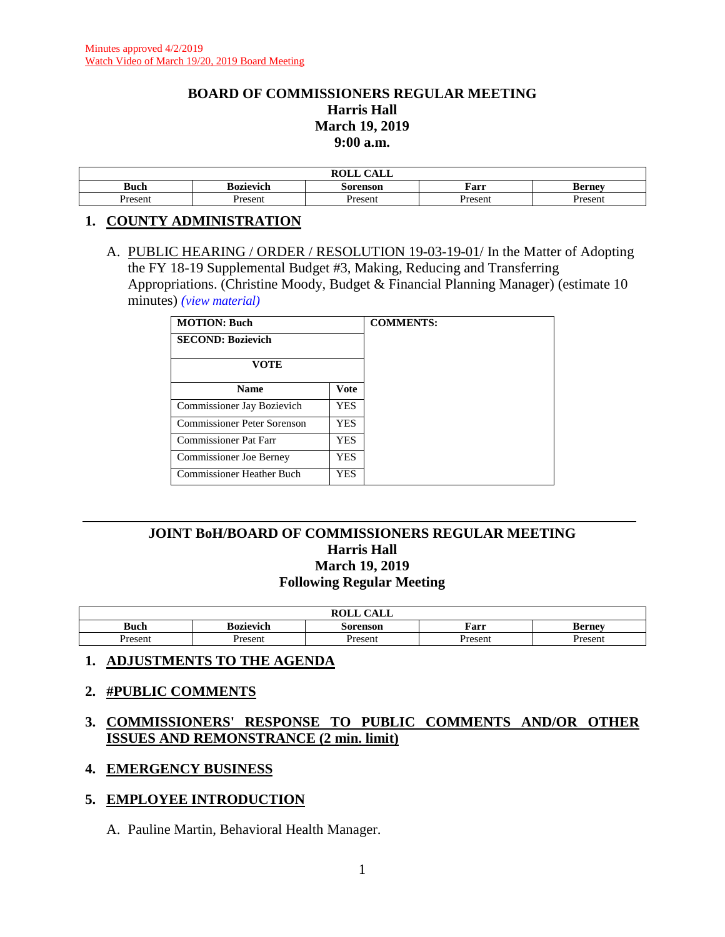#### **BOARD OF COMMISSIONERS REGULAR MEETING Harris Hall March 19, 2019 9:00 a.m.**

| $\bigcap$ $\bigcap$ $\bigcap$<br><b>ROLL</b><br>САЫБ |           |          |         |        |  |
|------------------------------------------------------|-----------|----------|---------|--------|--|
| <b>Buch</b>                                          | Bozievich | Sorenson | Farr    | Berney |  |
| Present                                              | Present   | Present  | Present | resent |  |

#### **1. COUNTY ADMINISTRATION**

A. PUBLIC HEARING / ORDER / RESOLUTION 19-03-19-01/ In the Matter of Adopting the FY 18-19 Supplemental Budget #3, Making, Reducing and Transferring Appropriations. (Christine Moody, Budget & Financial Planning Manager) (estimate 10 minutes) *(view [material\)](http://www.lanecounty.org/UserFiles/Servers/Server_3585797/File/Government/BCC/2019/2019_AGENDAS/031919agenda/T.1.A.pdf)*

| <b>MOTION: Buch</b>                |             |  |  |
|------------------------------------|-------------|--|--|
| <b>SECOND: Bozievich</b>           |             |  |  |
| <b>VOTE</b>                        |             |  |  |
| <b>Name</b>                        | <b>Vote</b> |  |  |
| Commissioner Jay Bozievich         | <b>YES</b>  |  |  |
| <b>Commissioner Peter Sorenson</b> | <b>YES</b>  |  |  |
| Commissioner Pat Farr              | <b>YES</b>  |  |  |
| <b>Commissioner Joe Berney</b>     | YES.        |  |  |
| Commissioner Heather Buch          | <b>YES</b>  |  |  |

### **JOINT BoH/BOARD OF COMMISSIONERS REGULAR MEETING Harris Hall March 19, 2019 Following Regular Meeting**

| CATT<br><b>ROLL</b><br>கப்ப |                  |          |         |               |  |
|-----------------------------|------------------|----------|---------|---------------|--|
| <b>Buch</b>                 | <b>Bozievich</b> | Sorenson | Farr    | <b>Berney</b> |  |
| Present                     | Present          | Present  | Present | Present       |  |

### **1. ADJUSTMENTS TO THE AGENDA**

#### **2. #PUBLIC COMMENTS**

### **3. COMMISSIONERS' RESPONSE TO PUBLIC COMMENTS AND/OR OTHER ISSUES AND REMONSTRANCE (2 min. limit)**

#### **4. EMERGENCY BUSINESS**

#### **5. EMPLOYEE INTRODUCTION**

A. Pauline Martin, Behavioral Health Manager.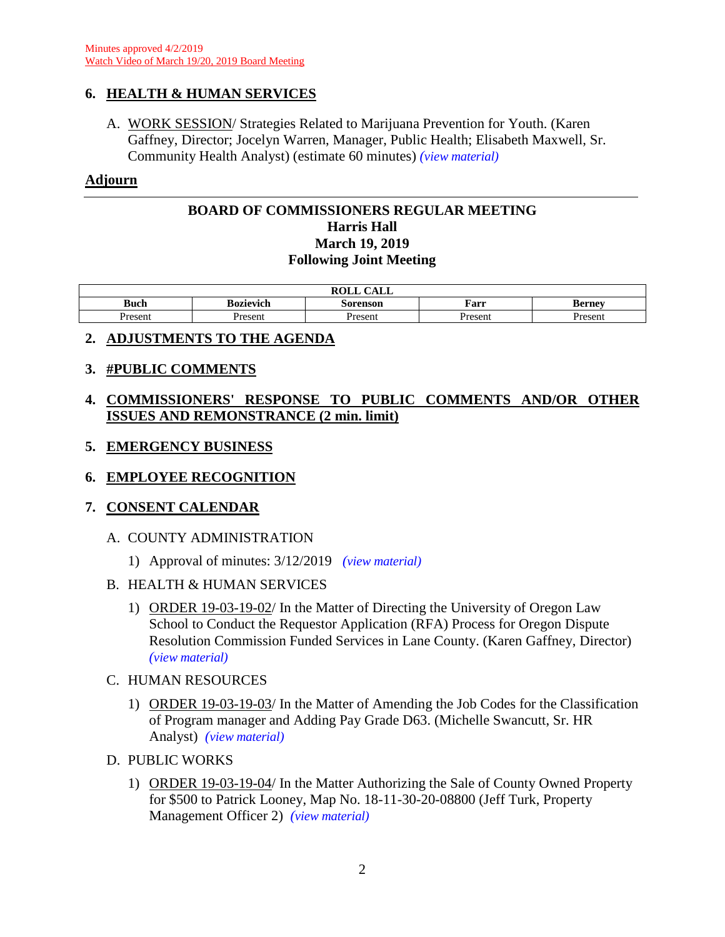### **6. HEALTH & HUMAN SERVICES**

A. WORK SESSION/ Strategies Related to Marijuana Prevention for Youth. (Karen Gaffney, Director; Jocelyn Warren, Manager, Public Health; Elisabeth Maxwell, Sr. Community Health Analyst) (estimate 60 minutes) *(view [material\)](http://www.lanecounty.org/UserFiles/Servers/Server_3585797/File/Government/BCC/2019/2019_AGENDAS/031919agenda/T.6.A.pdf)*

### **Adjourn**

### **BOARD OF COMMISSIONERS REGULAR MEETING Harris Hall March 19, 2019 Following Joint Meeting**

| CAT<br><b>ROLL</b><br>ידוע |                  |          |         |               |  |
|----------------------------|------------------|----------|---------|---------------|--|
| <b>Buch</b>                | <b>Bozievich</b> | Sorenson | Farr    | <b>Berney</b> |  |
| Present                    | Present          | Present  | Present | Present       |  |

# **2. ADJUSTMENTS TO THE AGENDA**

### **3. #PUBLIC COMMENTS**

# **4. COMMISSIONERS' RESPONSE TO PUBLIC COMMENTS AND/OR OTHER ISSUES AND REMONSTRANCE (2 min. limit)**

### **5. EMERGENCY BUSINESS**

# **6. EMPLOYEE RECOGNITION**

### **7. CONSENT CALENDAR**

### A. COUNTY ADMINISTRATION

1) Approval of minutes: 3/12/2019 *(view [material\)](http://www.lanecounty.org/UserFiles/Servers/Server_3585797/File/Government/BCC/2019/2019_AGENDAS/031919agenda/T.7.A.1.pdf)*

### B. HEALTH & HUMAN SERVICES

- 1) ORDER 19-03-19-02/ In the Matter of Directing the University of Oregon Law School to Conduct the Requestor Application (RFA) Process for Oregon Dispute Resolution Commission Funded Services in Lane County. (Karen Gaffney, Director) *(view [material\)](http://www.lanecounty.org/UserFiles/Servers/Server_3585797/File/Government/BCC/2019/2019_AGENDAS/031919agenda/T.7.B.1.pdf)*
- C. HUMAN RESOURCES
	- 1) ORDER 19-03-19-03/ In the Matter of Amending the Job Codes for the Classification of Program manager and Adding Pay Grade D63. (Michelle Swancutt, Sr. HR Analyst) *(view [material\)](http://www.lanecounty.org/UserFiles/Servers/Server_3585797/File/Government/BCC/2019/2019_AGENDAS/031919agenda/T.7.C.1.pdf)*

### D. PUBLIC WORKS

1) ORDER 19-03-19-04/ In the Matter Authorizing the Sale of County Owned Property for \$500 to Patrick Looney, Map No. 18-11-30-20-08800 (Jeff Turk, Property Management Officer 2) *(view [material\)](http://www.lanecounty.org/UserFiles/Servers/Server_3585797/File/Government/BCC/2019/2019_AGENDAS/031919agenda/T.7.D.1.pdf)*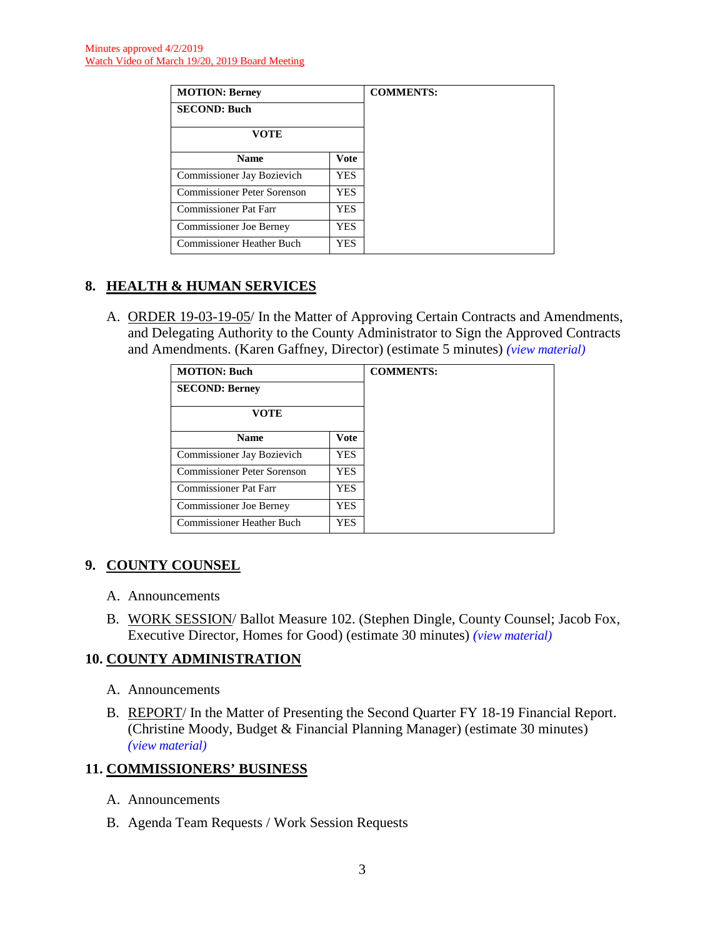| <b>MOTION: Berney</b>              |            |  |
|------------------------------------|------------|--|
| <b>SECOND: Buch</b>                |            |  |
| VOTE                               |            |  |
| <b>Name</b>                        | Vote       |  |
| Commissioner Jay Bozievich         | YES.       |  |
| <b>Commissioner Peter Sorenson</b> | YES.       |  |
| <b>Commissioner Pat Farr</b>       | <b>YES</b> |  |
| <b>Commissioner Joe Berney</b>     | YES.       |  |
| <b>Commissioner Heather Buch</b>   | YES        |  |

# **8. HEALTH & HUMAN SERVICES**

A. ORDER 19-03-19-05/ In the Matter of Approving Certain Contracts and Amendments, and Delegating Authority to the County Administrator to Sign the Approved Contracts and Amendments. (Karen Gaffney, Director) (estimate 5 minutes) *(view [material\)](http://www.lanecounty.org/UserFiles/Servers/Server_3585797/File/Government/BCC/2019/2019_AGENDAS/031919agenda/T.8.A.pdf)*

| <b>MOTION: Buch</b>            | <b>COMMENTS:</b> |  |
|--------------------------------|------------------|--|
| <b>SECOND: Berney</b>          |                  |  |
| <b>VOTE</b>                    |                  |  |
| <b>Name</b>                    | <b>Vote</b>      |  |
| Commissioner Jay Bozievich     | YES              |  |
| Commissioner Peter Sorenson    | <b>YES</b>       |  |
| Commissioner Pat Farr          | <b>YES</b>       |  |
| <b>Commissioner Joe Berney</b> | <b>YES</b>       |  |
| Commissioner Heather Buch      | <b>YES</b>       |  |

# **9. COUNTY COUNSEL**

- A. Announcements
- B. WORK SESSION/ Ballot Measure 102. (Stephen Dingle, County Counsel; Jacob Fox, Executive Director, Homes for Good) (estimate 30 minutes) *(view [material\)](http://www.lanecounty.org/UserFiles/Servers/Server_3585797/File/Government/BCC/2019/2019_AGENDAS/022619agenda/T.7.C.pdf)*

### **10. COUNTY ADMINISTRATION**

- A. Announcements
- B. REPORT/ In the Matter of Presenting the Second Quarter FY 18-19 Financial Report. (Christine Moody, Budget & Financial Planning Manager) (estimate 30 minutes) *(view [material\)](http://www.lanecounty.org/UserFiles/Servers/Server_3585797/File/Government/BCC/2019/2019_AGENDAS/031919agenda/T.10.B.pdf)*

### **11. COMMISSIONERS' BUSINESS**

- A. Announcements
- B. Agenda Team Requests / Work Session Requests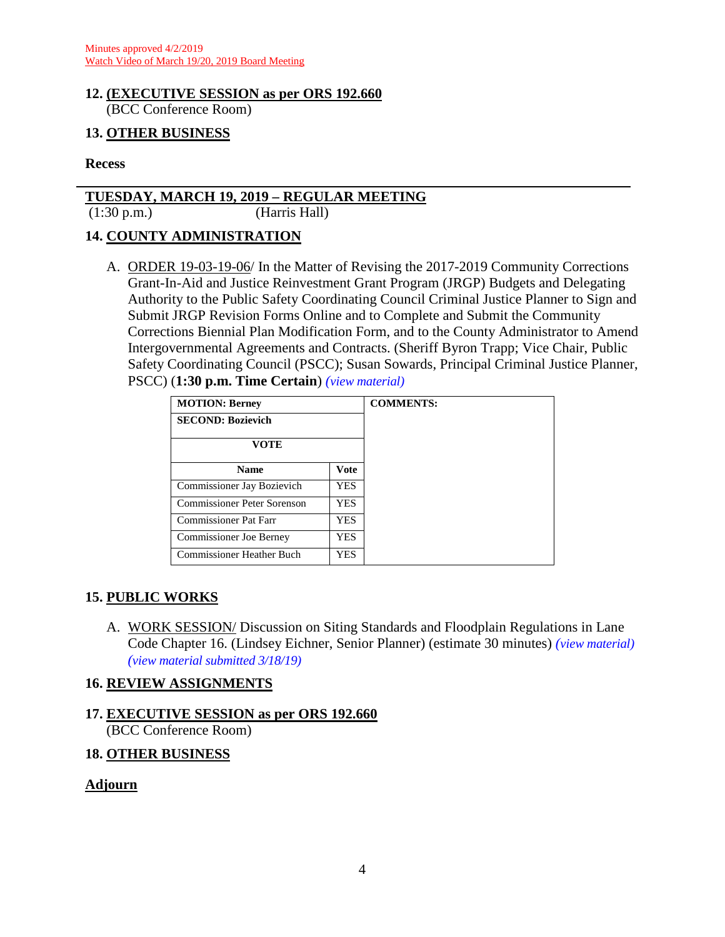#### **12. (EXECUTIVE SESSION as per ORS 192.660** (BCC Conference Room)

### **13. OTHER BUSINESS**

#### **Recess**

#### **TUESDAY, MARCH 19, 2019 – REGULAR MEETING**

(1:30 p.m.) (Harris Hall)

#### **14. COUNTY ADMINISTRATION**

A. ORDER 19-03-19-06/ In the Matter of Revising the 2017-2019 Community Corrections Grant-In-Aid and Justice Reinvestment Grant Program (JRGP) Budgets and Delegating Authority to the Public Safety Coordinating Council Criminal Justice Planner to Sign and Submit JRGP Revision Forms Online and to Complete and Submit the Community Corrections Biennial Plan Modification Form, and to the County Administrator to Amend Intergovernmental Agreements and Contracts. (Sheriff Byron Trapp; Vice Chair, Public Safety Coordinating Council (PSCC); Susan Sowards, Principal Criminal Justice Planner, PSCC) (**1:30 p.m. Time Certain**) *(view [material\)](http://www.lanecounty.org/UserFiles/Servers/Server_3585797/File/Government/BCC/2019/2019_AGENDAS/031919agenda/T.14.A.pdf)*

| <b>MOTION: Berney</b>            |             |
|----------------------------------|-------------|
| <b>SECOND: Bozievich</b>         |             |
| <b>VOTE</b>                      |             |
| <b>Name</b>                      | <b>Vote</b> |
| Commissioner Jay Bozievich       | <b>YES</b>  |
| Commissioner Peter Sorenson      | <b>YES</b>  |
| <b>Commissioner Pat Farr</b>     | <b>YES</b>  |
| <b>Commissioner Joe Berney</b>   | YES         |
| <b>Commissioner Heather Buch</b> | <b>YES</b>  |

### **15. PUBLIC WORKS**

A. WORK SESSION/ Discussion on Siting Standards and Floodplain Regulations in Lane Code Chapter 16. (Lindsey Eichner, Senior Planner) (estimate 30 minutes) *(view [material\)](http://www.lanecounty.org/UserFiles/Servers/Server_3585797/File/Government/BCC/2019/2019_AGENDAS/031919agenda/T.15.A.pdf) (view [material](http://www.lanecounty.org/UserFiles/Servers/Server_3585797/File/Government/BCC/2019/2019_AGENDAS/031919agenda/T.15.ASupp.pdf) submitted 3/18/19)*

### **16. REVIEW ASSIGNMENTS**

# **17. EXECUTIVE SESSION as per ORS 192.660** (BCC Conference Room)

### **18. OTHER BUSINESS**

### **Adjourn**